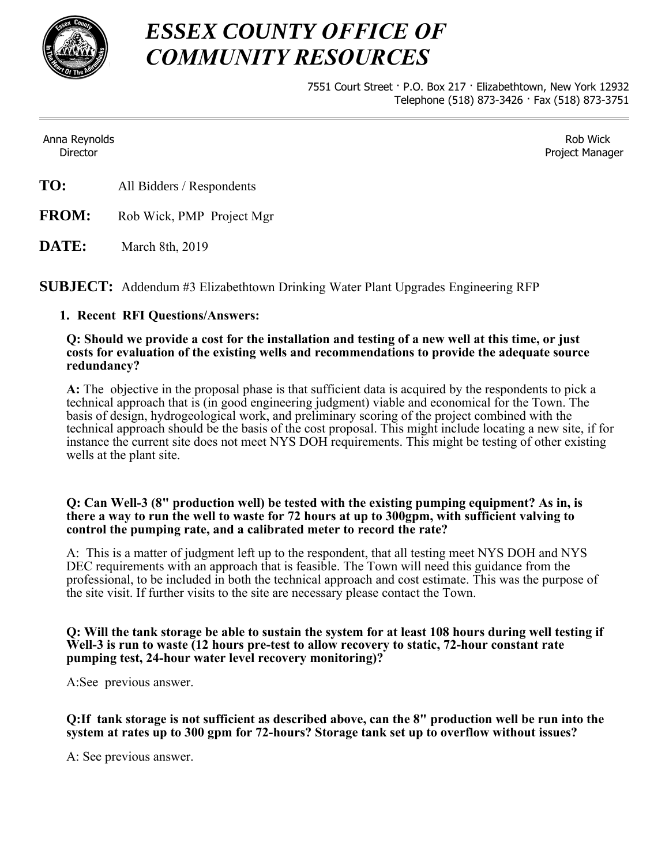

# *ESSEX COUNTY OFFICE OF COMMUNITY RESOURCES*

7551 Court Street · P.O. Box 217 · Elizabethtown, New York 12932 Telephone (518) 873-3426 · Fax (518) 873-3751

Anna Reynolds Director

Rob Wick Project Manager

- **TO:** All Bidders / Respondents
- **FROM:** Rob Wick, PMP Project Mgr
- **DATE:** March 8th, 2019

**SUBJECT:** Addendum #3 Elizabethtown Drinking Water Plant Upgrades Engineering RFP

## **1. Recent RFI Questions/Answers:**

#### **Q: Should we provide a cost for the installation and testing of a new well at this time, or just costs for evaluation of the existing wells and recommendations to provide the adequate source redundancy?**

**A:** The objective in the proposal phase is that sufficient data is acquired by the respondents to pick a technical approach that is (in good engineering judgment) viable and economical for the Town. The basis of design, hydrogeological work, and preliminary scoring of the project combined with the technical approach should be the basis of the cost proposal. This might include locating a new site, if for instance the current site does not meet NYS DOH requirements. This might be testing of other existing wells at the plant site.

### **Q: Can Well-3 (8" production well) be tested with the existing pumping equipment? As in, is there a way to run the well to waste for 72 hours at up to 300gpm, with sufficient valving to control the pumping rate, and a calibrated meter to record the rate?**

A: This is a matter of judgment left up to the respondent, that all testing meet NYS DOH and NYS DEC requirements with an approach that is feasible. The Town will need this guidance from the professional, to be included in both the technical approach and cost estimate. This was the purpose of the site visit. If further visits to the site are necessary please contact the Town.

### **Q: Will the tank storage be able to sustain the system for at least 108 hours during well testing if Well-3 is run to waste (12 hours pre-test to allow recovery to static, 72-hour constant rate pumping test, 24-hour water level recovery monitoring)?**

A:See previous answer.

**Q:If tank storage is not sufficient as described above, can the 8" production well be run into the system at rates up to 300 gpm for 72-hours? Storage tank set up to overflow without issues?** 

A: See previous answer.